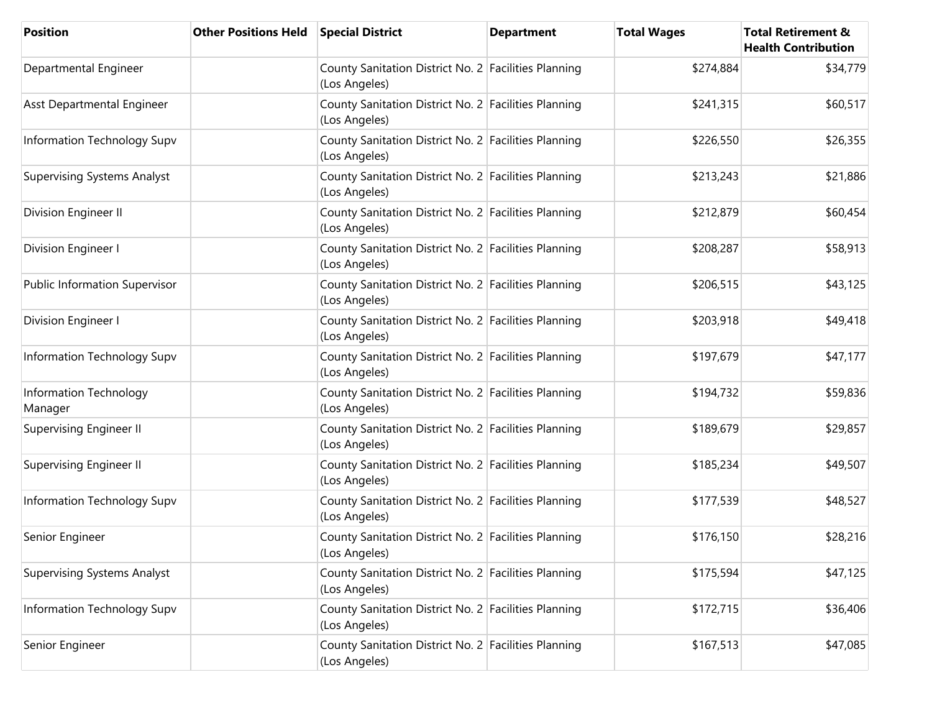| Position                             | <b>Other Positions Held Special District</b> |                                                                       | <b>Department</b> | <b>Total Wages</b> | <b>Total Retirement &amp;</b><br><b>Health Contribution</b> |
|--------------------------------------|----------------------------------------------|-----------------------------------------------------------------------|-------------------|--------------------|-------------------------------------------------------------|
| Departmental Engineer                |                                              | County Sanitation District No. 2 Facilities Planning<br>(Los Angeles) |                   | \$274,884          | \$34,779                                                    |
| Asst Departmental Engineer           |                                              | County Sanitation District No. 2 Facilities Planning<br>(Los Angeles) |                   | \$241,315          | \$60,517                                                    |
| Information Technology Supv          |                                              | County Sanitation District No. 2 Facilities Planning<br>(Los Angeles) |                   | \$226,550          | \$26,355                                                    |
| <b>Supervising Systems Analyst</b>   |                                              | County Sanitation District No. 2 Facilities Planning<br>(Los Angeles) |                   | \$213,243          | \$21,886                                                    |
| Division Engineer II                 |                                              | County Sanitation District No. 2 Facilities Planning<br>(Los Angeles) |                   | \$212,879          | \$60,454                                                    |
| Division Engineer I                  |                                              | County Sanitation District No. 2 Facilities Planning<br>(Los Angeles) |                   | \$208,287          | \$58,913                                                    |
| <b>Public Information Supervisor</b> |                                              | County Sanitation District No. 2 Facilities Planning<br>(Los Angeles) |                   | \$206,515          | \$43,125                                                    |
| Division Engineer I                  |                                              | County Sanitation District No. 2 Facilities Planning<br>(Los Angeles) |                   | \$203,918          | \$49,418                                                    |
| Information Technology Supv          |                                              | County Sanitation District No. 2 Facilities Planning<br>(Los Angeles) |                   | \$197,679          | \$47,177                                                    |
| Information Technology<br>Manager    |                                              | County Sanitation District No. 2 Facilities Planning<br>(Los Angeles) |                   | \$194,732          | \$59,836                                                    |
| <b>Supervising Engineer II</b>       |                                              | County Sanitation District No. 2 Facilities Planning<br>(Los Angeles) |                   | \$189,679          | \$29,857                                                    |
| Supervising Engineer II              |                                              | County Sanitation District No. 2 Facilities Planning<br>(Los Angeles) |                   | \$185,234          | \$49,507                                                    |
| Information Technology Supv          |                                              | County Sanitation District No. 2 Facilities Planning<br>(Los Angeles) |                   | \$177,539          | \$48,527                                                    |
| Senior Engineer                      |                                              | County Sanitation District No. 2 Facilities Planning<br>(Los Angeles) |                   | \$176,150          | \$28,216                                                    |
| <b>Supervising Systems Analyst</b>   |                                              | County Sanitation District No. 2 Facilities Planning<br>(Los Angeles) |                   | \$175,594          | \$47,125                                                    |
| Information Technology Supv          |                                              | County Sanitation District No. 2 Facilities Planning<br>(Los Angeles) |                   | \$172,715          | \$36,406                                                    |
| Senior Engineer                      |                                              | County Sanitation District No. 2 Facilities Planning<br>(Los Angeles) |                   | \$167,513          | \$47,085                                                    |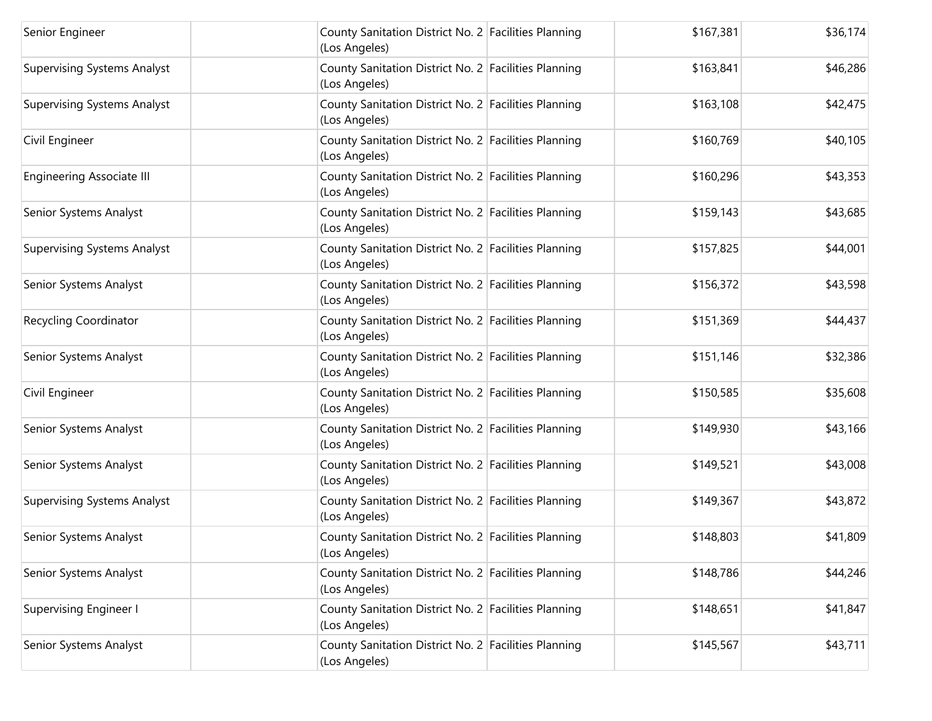| Senior Engineer                    | County Sanitation District No. 2 Facilities Planning<br>(Los Angeles) | \$167,381 | \$36,174 |
|------------------------------------|-----------------------------------------------------------------------|-----------|----------|
| <b>Supervising Systems Analyst</b> | County Sanitation District No. 2 Facilities Planning<br>(Los Angeles) | \$163,841 | \$46,286 |
| <b>Supervising Systems Analyst</b> | County Sanitation District No. 2 Facilities Planning<br>(Los Angeles) | \$163,108 | \$42,475 |
| Civil Engineer                     | County Sanitation District No. 2 Facilities Planning<br>(Los Angeles) | \$160,769 | \$40,105 |
| <b>Engineering Associate III</b>   | County Sanitation District No. 2 Facilities Planning<br>(Los Angeles) | \$160,296 | \$43,353 |
| Senior Systems Analyst             | County Sanitation District No. 2 Facilities Planning<br>(Los Angeles) | \$159,143 | \$43,685 |
| <b>Supervising Systems Analyst</b> | County Sanitation District No. 2 Facilities Planning<br>(Los Angeles) | \$157,825 | \$44,001 |
| Senior Systems Analyst             | County Sanitation District No. 2 Facilities Planning<br>(Los Angeles) | \$156,372 | \$43,598 |
| <b>Recycling Coordinator</b>       | County Sanitation District No. 2 Facilities Planning<br>(Los Angeles) | \$151,369 | \$44,437 |
| Senior Systems Analyst             | County Sanitation District No. 2 Facilities Planning<br>(Los Angeles) | \$151,146 | \$32,386 |
| Civil Engineer                     | County Sanitation District No. 2 Facilities Planning<br>(Los Angeles) | \$150,585 | \$35,608 |
| Senior Systems Analyst             | County Sanitation District No. 2 Facilities Planning<br>(Los Angeles) | \$149,930 | \$43,166 |
| Senior Systems Analyst             | County Sanitation District No. 2 Facilities Planning<br>(Los Angeles) | \$149,521 | \$43,008 |
| <b>Supervising Systems Analyst</b> | County Sanitation District No. 2 Facilities Planning<br>(Los Angeles) | \$149,367 | \$43,872 |
| Senior Systems Analyst             | County Sanitation District No. 2 Facilities Planning<br>(Los Angeles) | \$148,803 | \$41,809 |
| Senior Systems Analyst             | County Sanitation District No. 2 Facilities Planning<br>(Los Angeles) | \$148,786 | \$44,246 |
| <b>Supervising Engineer I</b>      | County Sanitation District No. 2 Facilities Planning<br>(Los Angeles) | \$148,651 | \$41,847 |
| Senior Systems Analyst             | County Sanitation District No. 2 Facilities Planning<br>(Los Angeles) | \$145,567 | \$43,711 |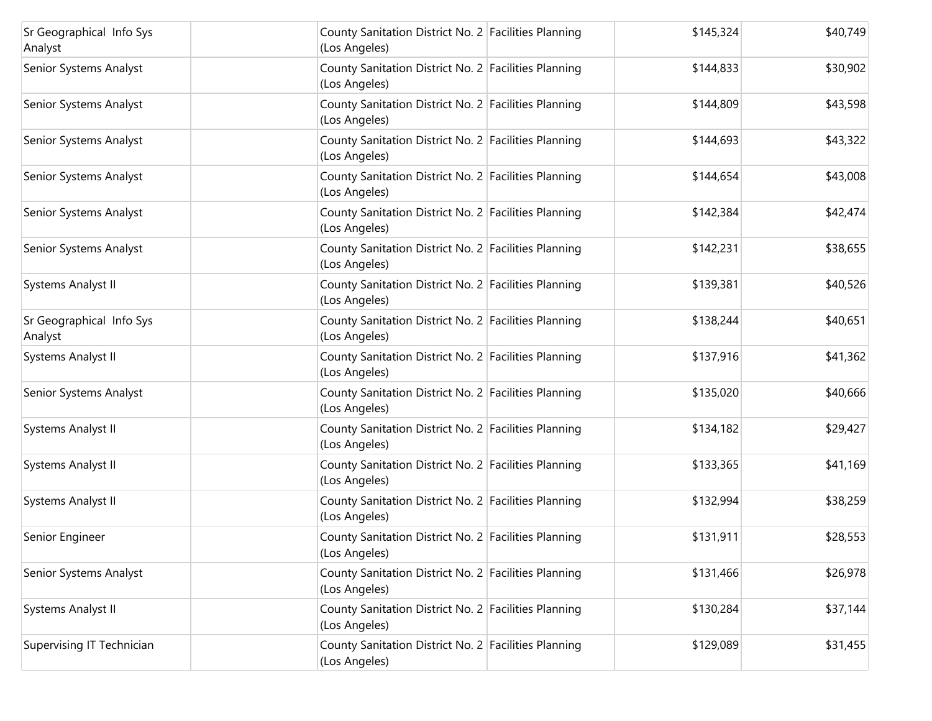| Sr Geographical Info Sys<br>Analyst | County Sanitation District No. 2 Facilities Planning<br>(Los Angeles) | \$145,324 | \$40,749 |
|-------------------------------------|-----------------------------------------------------------------------|-----------|----------|
| Senior Systems Analyst              | County Sanitation District No. 2 Facilities Planning<br>(Los Angeles) | \$144,833 | \$30,902 |
| Senior Systems Analyst              | County Sanitation District No. 2 Facilities Planning<br>(Los Angeles) | \$144,809 | \$43,598 |
| Senior Systems Analyst              | County Sanitation District No. 2 Facilities Planning<br>(Los Angeles) | \$144,693 | \$43,322 |
| Senior Systems Analyst              | County Sanitation District No. 2 Facilities Planning<br>(Los Angeles) | \$144,654 | \$43,008 |
| Senior Systems Analyst              | County Sanitation District No. 2 Facilities Planning<br>(Los Angeles) | \$142,384 | \$42,474 |
| Senior Systems Analyst              | County Sanitation District No. 2 Facilities Planning<br>(Los Angeles) | \$142,231 | \$38,655 |
| Systems Analyst II                  | County Sanitation District No. 2 Facilities Planning<br>(Los Angeles) | \$139,381 | \$40,526 |
| Sr Geographical Info Sys<br>Analyst | County Sanitation District No. 2 Facilities Planning<br>(Los Angeles) | \$138,244 | \$40,651 |
| Systems Analyst II                  | County Sanitation District No. 2 Facilities Planning<br>(Los Angeles) | \$137,916 | \$41,362 |
| Senior Systems Analyst              | County Sanitation District No. 2 Facilities Planning<br>(Los Angeles) | \$135,020 | \$40,666 |
| Systems Analyst II                  | County Sanitation District No. 2 Facilities Planning<br>(Los Angeles) | \$134,182 | \$29,427 |
| Systems Analyst II                  | County Sanitation District No. 2 Facilities Planning<br>(Los Angeles) | \$133,365 | \$41,169 |
| Systems Analyst II                  | County Sanitation District No. 2 Facilities Planning<br>(Los Angeles) | \$132,994 | \$38,259 |
| Senior Engineer                     | County Sanitation District No. 2 Facilities Planning<br>(Los Angeles) | \$131,911 | \$28,553 |
| Senior Systems Analyst              | County Sanitation District No. 2 Facilities Planning<br>(Los Angeles) | \$131,466 | \$26,978 |
| Systems Analyst II                  | County Sanitation District No. 2 Facilities Planning<br>(Los Angeles) | \$130,284 | \$37,144 |
| Supervising IT Technician           | County Sanitation District No. 2 Facilities Planning<br>(Los Angeles) | \$129,089 | \$31,455 |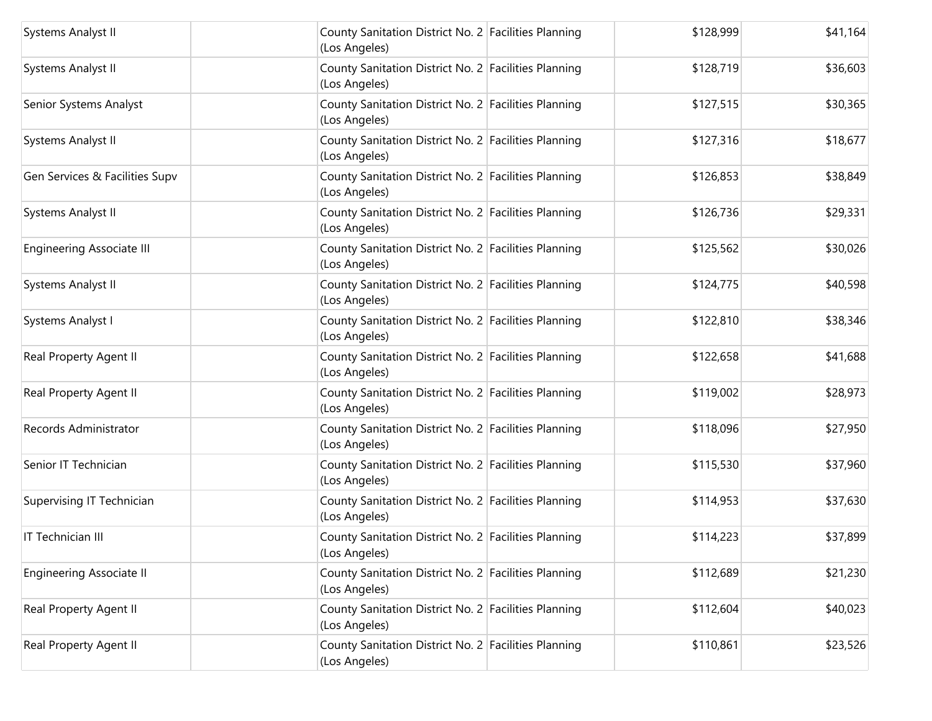| Systems Analyst II               | County Sanitation District No. 2 Facilities Planning<br>(Los Angeles) | \$128,999 | \$41,164 |
|----------------------------------|-----------------------------------------------------------------------|-----------|----------|
| Systems Analyst II               | County Sanitation District No. 2 Facilities Planning<br>(Los Angeles) | \$128,719 | \$36,603 |
| Senior Systems Analyst           | County Sanitation District No. 2 Facilities Planning<br>(Los Angeles) | \$127,515 | \$30,365 |
| Systems Analyst II               | County Sanitation District No. 2 Facilities Planning<br>(Los Angeles) | \$127,316 | \$18,677 |
| Gen Services & Facilities Supv   | County Sanitation District No. 2 Facilities Planning<br>(Los Angeles) | \$126,853 | \$38,849 |
| Systems Analyst II               | County Sanitation District No. 2 Facilities Planning<br>(Los Angeles) | \$126,736 | \$29,331 |
| <b>Engineering Associate III</b> | County Sanitation District No. 2 Facilities Planning<br>(Los Angeles) | \$125,562 | \$30,026 |
| Systems Analyst II               | County Sanitation District No. 2 Facilities Planning<br>(Los Angeles) | \$124,775 | \$40,598 |
| Systems Analyst I                | County Sanitation District No. 2 Facilities Planning<br>(Los Angeles) | \$122,810 | \$38,346 |
| Real Property Agent II           | County Sanitation District No. 2 Facilities Planning<br>(Los Angeles) | \$122,658 | \$41,688 |
| Real Property Agent II           | County Sanitation District No. 2 Facilities Planning<br>(Los Angeles) | \$119,002 | \$28,973 |
| Records Administrator            | County Sanitation District No. 2 Facilities Planning<br>(Los Angeles) | \$118,096 | \$27,950 |
| Senior IT Technician             | County Sanitation District No. 2 Facilities Planning<br>(Los Angeles) | \$115,530 | \$37,960 |
| Supervising IT Technician        | County Sanitation District No. 2 Facilities Planning<br>(Los Angeles) | \$114,953 | \$37,630 |
| IT Technician III                | County Sanitation District No. 2 Facilities Planning<br>(Los Angeles) | \$114,223 | \$37,899 |
| <b>Engineering Associate II</b>  | County Sanitation District No. 2 Facilities Planning<br>(Los Angeles) | \$112,689 | \$21,230 |
| Real Property Agent II           | County Sanitation District No. 2 Facilities Planning<br>(Los Angeles) | \$112,604 | \$40,023 |
| Real Property Agent II           | County Sanitation District No. 2 Facilities Planning<br>(Los Angeles) | \$110,861 | \$23,526 |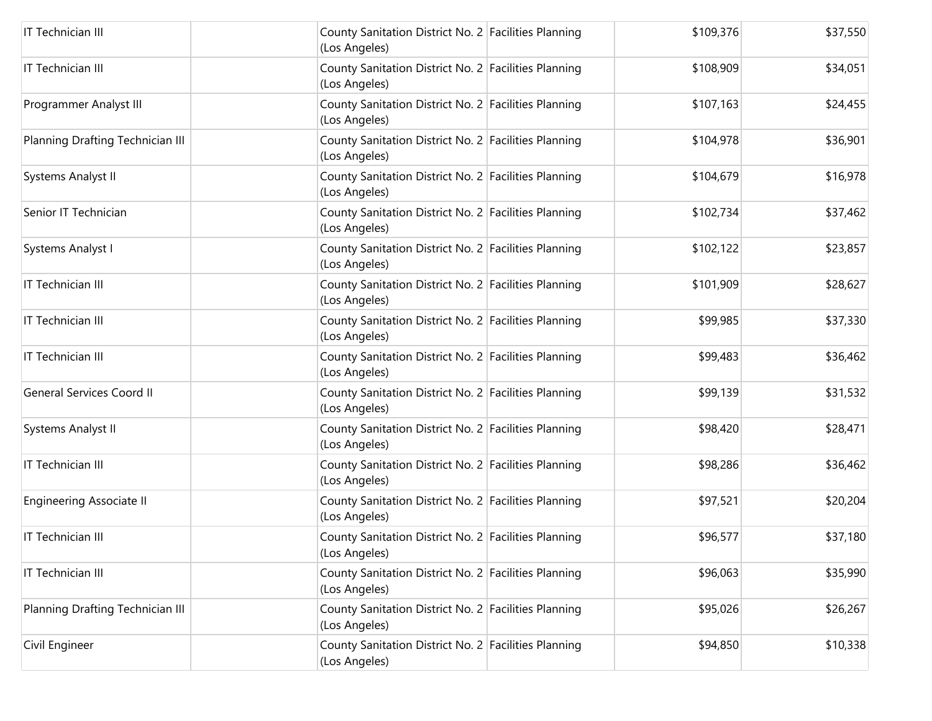| IT Technician III                | County Sanitation District No. 2 Facilities Planning<br>(Los Angeles) | \$109,376 | \$37,550 |
|----------------------------------|-----------------------------------------------------------------------|-----------|----------|
| IT Technician III                | County Sanitation District No. 2 Facilities Planning<br>(Los Angeles) | \$108,909 | \$34,051 |
| Programmer Analyst III           | County Sanitation District No. 2 Facilities Planning<br>(Los Angeles) | \$107,163 | \$24,455 |
| Planning Drafting Technician III | County Sanitation District No. 2 Facilities Planning<br>(Los Angeles) | \$104,978 | \$36,901 |
| Systems Analyst II               | County Sanitation District No. 2 Facilities Planning<br>(Los Angeles) | \$104,679 | \$16,978 |
| Senior IT Technician             | County Sanitation District No. 2 Facilities Planning<br>(Los Angeles) | \$102,734 | \$37,462 |
| Systems Analyst I                | County Sanitation District No. 2 Facilities Planning<br>(Los Angeles) | \$102,122 | \$23,857 |
| IT Technician III                | County Sanitation District No. 2 Facilities Planning<br>(Los Angeles) | \$101,909 | \$28,627 |
| IT Technician III                | County Sanitation District No. 2 Facilities Planning<br>(Los Angeles) | \$99,985  | \$37,330 |
| IT Technician III                | County Sanitation District No. 2 Facilities Planning<br>(Los Angeles) | \$99,483  | \$36,462 |
| <b>General Services Coord II</b> | County Sanitation District No. 2 Facilities Planning<br>(Los Angeles) | \$99,139  | \$31,532 |
| Systems Analyst II               | County Sanitation District No. 2 Facilities Planning<br>(Los Angeles) | \$98,420  | \$28,471 |
| IT Technician III                | County Sanitation District No. 2 Facilities Planning<br>(Los Angeles) | \$98,286  | \$36,462 |
| <b>Engineering Associate II</b>  | County Sanitation District No. 2 Facilities Planning<br>(Los Angeles) | \$97,521  | \$20,204 |
| IT Technician III                | County Sanitation District No. 2 Facilities Planning<br>(Los Angeles) | \$96,577  | \$37,180 |
| IT Technician III                | County Sanitation District No. 2 Facilities Planning<br>(Los Angeles) | \$96,063  | \$35,990 |
| Planning Drafting Technician III | County Sanitation District No. 2 Facilities Planning<br>(Los Angeles) | \$95,026  | \$26,267 |
| Civil Engineer                   | County Sanitation District No. 2 Facilities Planning<br>(Los Angeles) | \$94,850  | \$10,338 |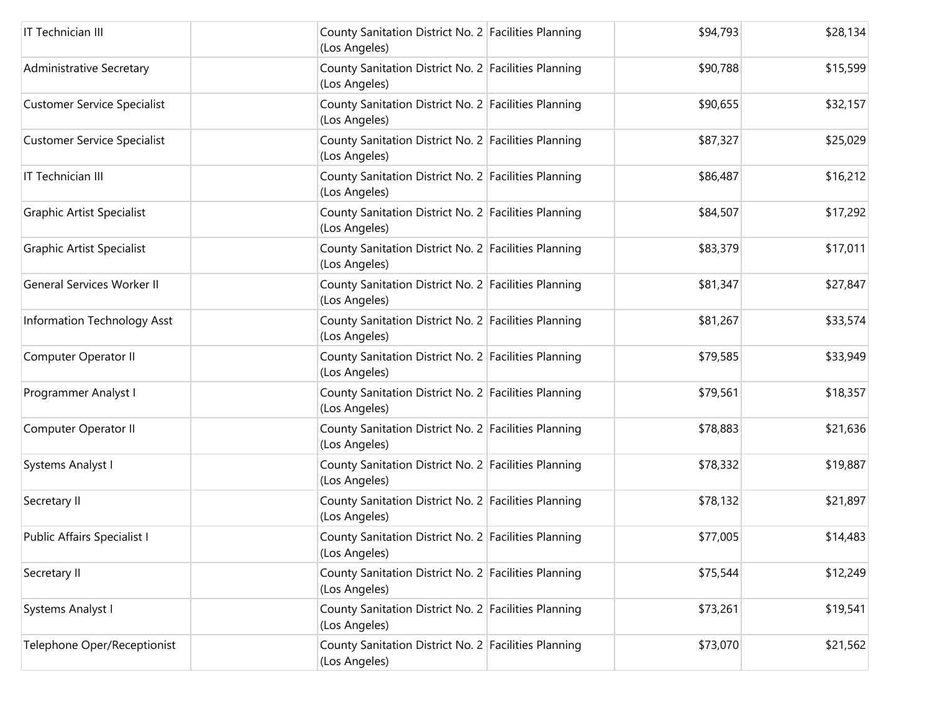| IT Technician III                  | County Sanitation District No. 2 Facilities Planning<br>(Los Angeles) | \$94,793 | \$28,134 |
|------------------------------------|-----------------------------------------------------------------------|----------|----------|
| <b>Administrative Secretary</b>    | County Sanitation District No. 2 Facilities Planning<br>(Los Angeles) | \$90,788 | \$15,599 |
| <b>Customer Service Specialist</b> | County Sanitation District No. 2 Facilities Planning<br>(Los Angeles) | \$90,655 | \$32,157 |
| <b>Customer Service Specialist</b> | County Sanitation District No. 2 Facilities Planning<br>(Los Angeles) | \$87,327 | \$25,029 |
| IT Technician III                  | County Sanitation District No. 2 Facilities Planning<br>(Los Angeles) | \$86,487 | \$16,212 |
| <b>Graphic Artist Specialist</b>   | County Sanitation District No. 2 Facilities Planning<br>(Los Angeles) | \$84,507 | \$17,292 |
| <b>Graphic Artist Specialist</b>   | County Sanitation District No. 2 Facilities Planning<br>(Los Angeles) | \$83,379 | \$17,011 |
| <b>General Services Worker II</b>  | County Sanitation District No. 2 Facilities Planning<br>(Los Angeles) | \$81,347 | \$27,847 |
| Information Technology Asst        | County Sanitation District No. 2 Facilities Planning<br>(Los Angeles) | \$81,267 | \$33,574 |
| Computer Operator II               | County Sanitation District No. 2 Facilities Planning<br>(Los Angeles) | \$79,585 | \$33,949 |
| Programmer Analyst I               | County Sanitation District No. 2 Facilities Planning<br>(Los Angeles) | \$79,561 | \$18,357 |
| Computer Operator II               | County Sanitation District No. 2 Facilities Planning<br>(Los Angeles) | \$78,883 | \$21,636 |
| Systems Analyst I                  | County Sanitation District No. 2 Facilities Planning<br>(Los Angeles) | \$78,332 | \$19,887 |
| Secretary II                       | County Sanitation District No. 2 Facilities Planning<br>(Los Angeles) | \$78,132 | \$21,897 |
| Public Affairs Specialist I        | County Sanitation District No. 2 Facilities Planning<br>(Los Angeles) | \$77,005 | \$14,483 |
| Secretary II                       | County Sanitation District No. 2 Facilities Planning<br>(Los Angeles) | \$75,544 | \$12,249 |
| Systems Analyst I                  | County Sanitation District No. 2 Facilities Planning<br>(Los Angeles) | \$73,261 | \$19,541 |
| Telephone Oper/Receptionist        | County Sanitation District No. 2 Facilities Planning<br>(Los Angeles) | \$73,070 | \$21,562 |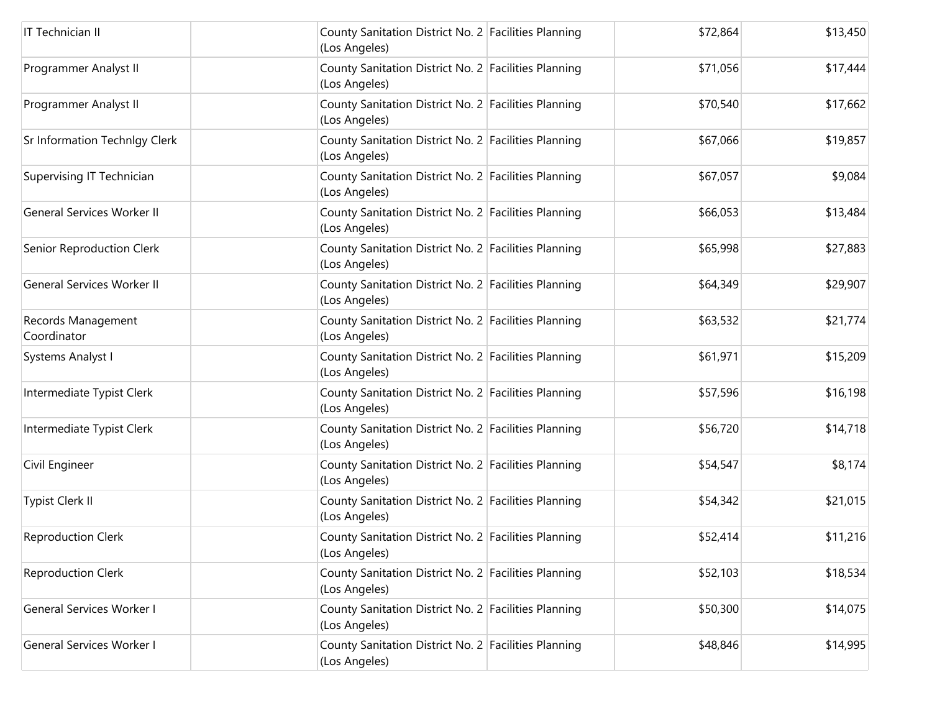| IT Technician II                     | County Sanitation District No. 2 Facilities Planning<br>(Los Angeles) | \$72,864 | \$13,450 |
|--------------------------------------|-----------------------------------------------------------------------|----------|----------|
| Programmer Analyst II                | County Sanitation District No. 2 Facilities Planning<br>(Los Angeles) | \$71,056 | \$17,444 |
| Programmer Analyst II                | County Sanitation District No. 2 Facilities Planning<br>(Los Angeles) | \$70,540 | \$17,662 |
| <b>Sr Information Technlgy Clerk</b> | County Sanitation District No. 2 Facilities Planning<br>(Los Angeles) | \$67,066 | \$19,857 |
| Supervising IT Technician            | County Sanitation District No. 2 Facilities Planning<br>(Los Angeles) | \$67,057 | \$9,084  |
| <b>General Services Worker II</b>    | County Sanitation District No. 2 Facilities Planning<br>(Los Angeles) | \$66,053 | \$13,484 |
| Senior Reproduction Clerk            | County Sanitation District No. 2 Facilities Planning<br>(Los Angeles) | \$65,998 | \$27,883 |
| <b>General Services Worker II</b>    | County Sanitation District No. 2 Facilities Planning<br>(Los Angeles) | \$64,349 | \$29,907 |
| Records Management<br>Coordinator    | County Sanitation District No. 2 Facilities Planning<br>(Los Angeles) | \$63,532 | \$21,774 |
| Systems Analyst I                    | County Sanitation District No. 2 Facilities Planning<br>(Los Angeles) | \$61,971 | \$15,209 |
| Intermediate Typist Clerk            | County Sanitation District No. 2 Facilities Planning<br>(Los Angeles) | \$57,596 | \$16,198 |
| Intermediate Typist Clerk            | County Sanitation District No. 2 Facilities Planning<br>(Los Angeles) | \$56,720 | \$14,718 |
| Civil Engineer                       | County Sanitation District No. 2 Facilities Planning<br>(Los Angeles) | \$54,547 | \$8,174  |
| <b>Typist Clerk II</b>               | County Sanitation District No. 2 Facilities Planning<br>(Los Angeles) | \$54,342 | \$21,015 |
| <b>Reproduction Clerk</b>            | County Sanitation District No. 2 Facilities Planning<br>(Los Angeles) | \$52,414 | \$11,216 |
| <b>Reproduction Clerk</b>            | County Sanitation District No. 2 Facilities Planning<br>(Los Angeles) | \$52,103 | \$18,534 |
| General Services Worker I            | County Sanitation District No. 2 Facilities Planning<br>(Los Angeles) | \$50,300 | \$14,075 |
| General Services Worker I            | County Sanitation District No. 2 Facilities Planning<br>(Los Angeles) | \$48,846 | \$14,995 |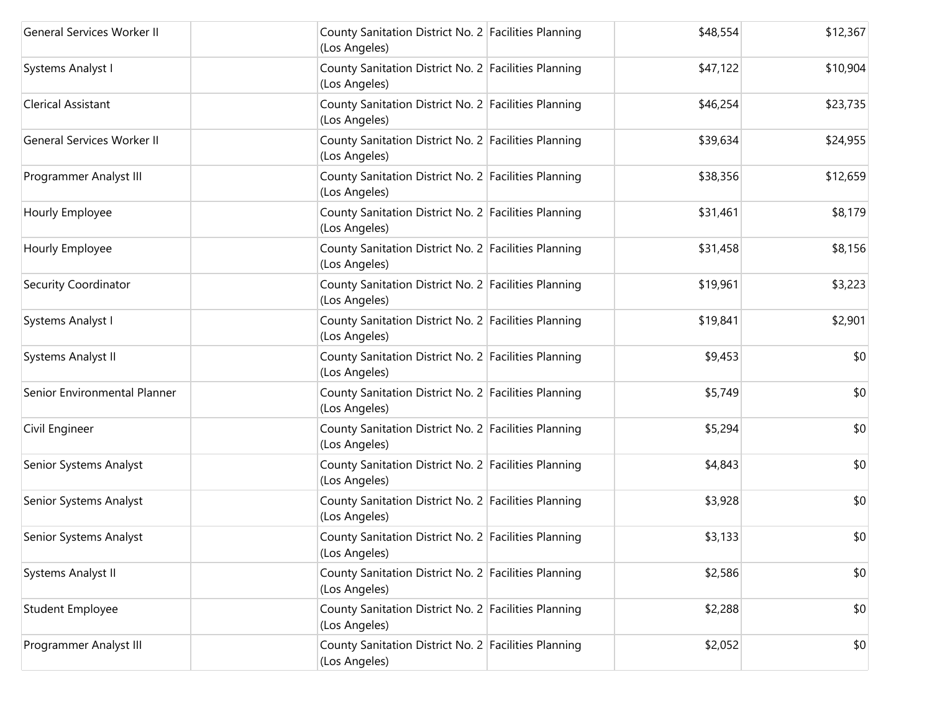| <b>General Services Worker II</b> | County Sanitation District No. 2 Facilities Planning<br>(Los Angeles) | \$48,554 | \$12,367 |
|-----------------------------------|-----------------------------------------------------------------------|----------|----------|
| Systems Analyst I                 | County Sanitation District No. 2 Facilities Planning<br>(Los Angeles) | \$47,122 | \$10,904 |
| Clerical Assistant                | County Sanitation District No. 2 Facilities Planning<br>(Los Angeles) | \$46,254 | \$23,735 |
| <b>General Services Worker II</b> | County Sanitation District No. 2 Facilities Planning<br>(Los Angeles) | \$39,634 | \$24,955 |
| Programmer Analyst III            | County Sanitation District No. 2 Facilities Planning<br>(Los Angeles) | \$38,356 | \$12,659 |
| Hourly Employee                   | County Sanitation District No. 2 Facilities Planning<br>(Los Angeles) | \$31,461 | \$8,179  |
| Hourly Employee                   | County Sanitation District No. 2 Facilities Planning<br>(Los Angeles) | \$31,458 | \$8,156  |
| Security Coordinator              | County Sanitation District No. 2 Facilities Planning<br>(Los Angeles) | \$19,961 | \$3,223  |
| Systems Analyst I                 | County Sanitation District No. 2 Facilities Planning<br>(Los Angeles) | \$19,841 | \$2,901  |
| Systems Analyst II                | County Sanitation District No. 2 Facilities Planning<br>(Los Angeles) | \$9,453  | \$0      |
| Senior Environmental Planner      | County Sanitation District No. 2 Facilities Planning<br>(Los Angeles) | \$5,749  | \$0      |
| Civil Engineer                    | County Sanitation District No. 2 Facilities Planning<br>(Los Angeles) | \$5,294  | \$0      |
| Senior Systems Analyst            | County Sanitation District No. 2 Facilities Planning<br>(Los Angeles) | \$4,843  | \$0      |
| Senior Systems Analyst            | County Sanitation District No. 2 Facilities Planning<br>(Los Angeles) | \$3,928  | \$0      |
| Senior Systems Analyst            | County Sanitation District No. 2 Facilities Planning<br>(Los Angeles) | \$3,133  | \$0      |
| Systems Analyst II                | County Sanitation District No. 2 Facilities Planning<br>(Los Angeles) | \$2,586  | \$0      |
| <b>Student Employee</b>           | County Sanitation District No. 2 Facilities Planning<br>(Los Angeles) | \$2,288  | \$0      |
| Programmer Analyst III            | County Sanitation District No. 2 Facilities Planning<br>(Los Angeles) | \$2,052  | \$0      |